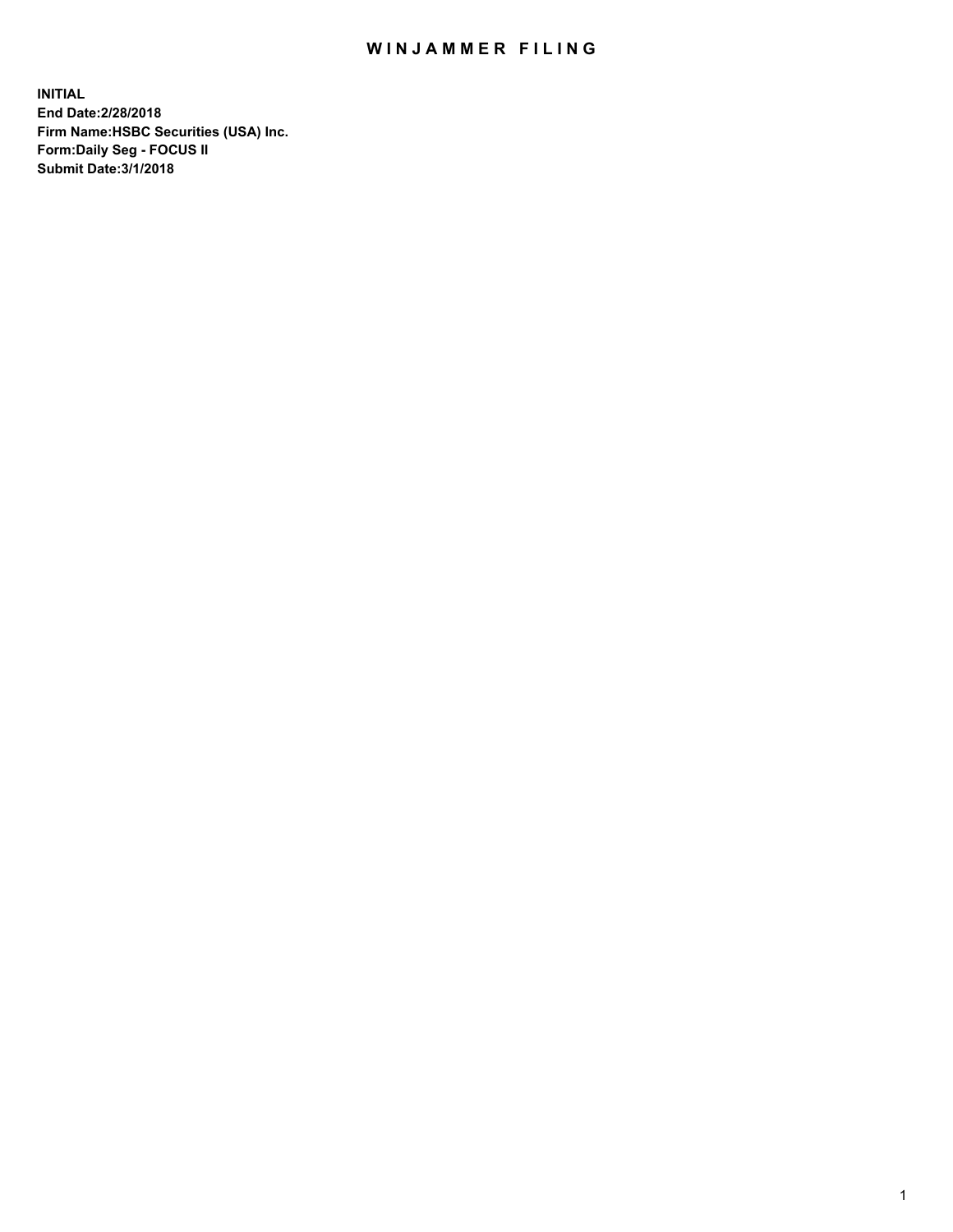## WIN JAMMER FILING

**INITIAL End Date:2/28/2018 Firm Name:HSBC Securities (USA) Inc. Form:Daily Seg - FOCUS II Submit Date:3/1/2018**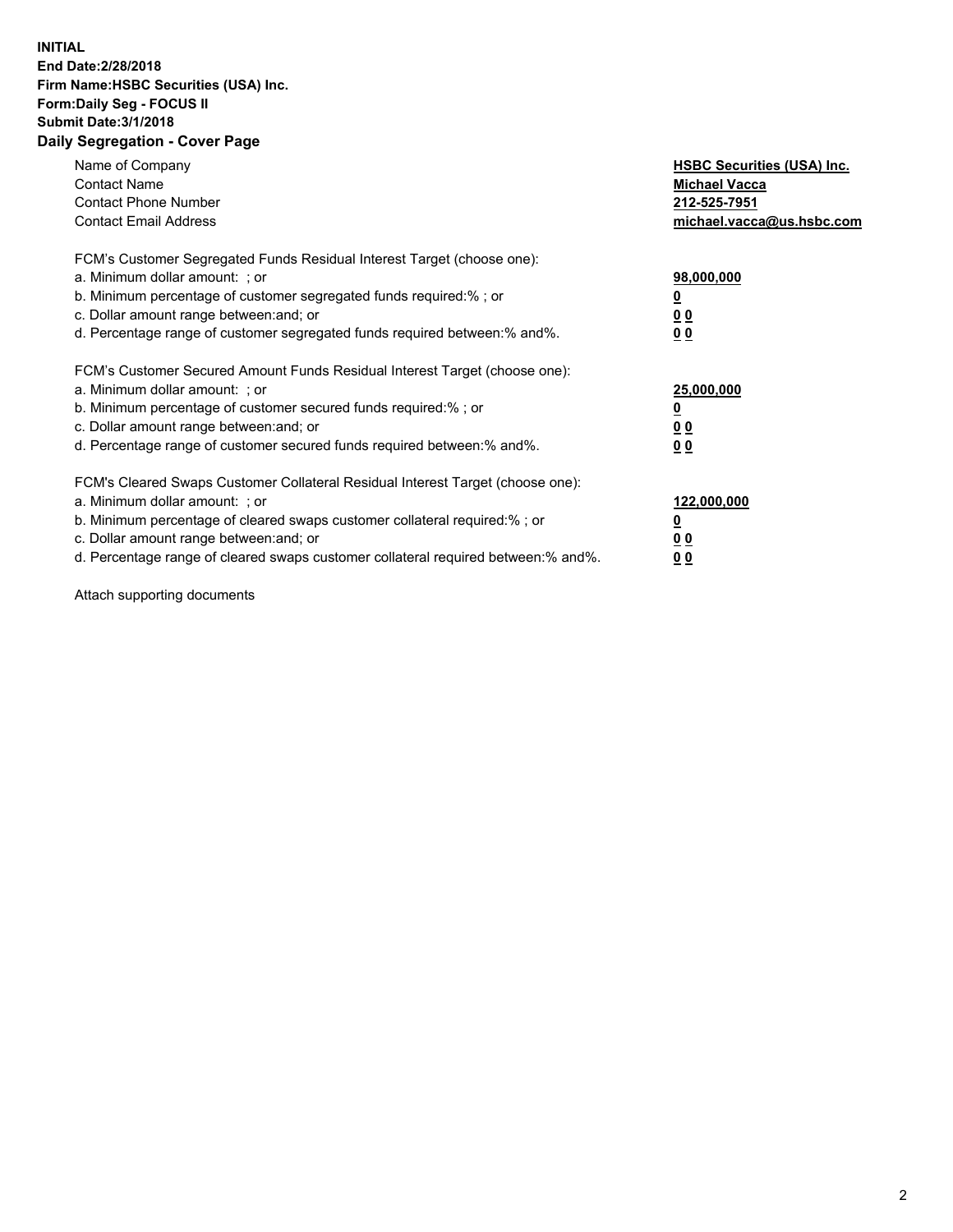## **INITIAL End Date:2/28/2018 Firm Name:HSBC Securities (USA) Inc. Form:Daily Seg - FOCUS II Submit Date:3/1/2018 Daily Segregation - Cover Page**

| Name of Company<br><b>Contact Name</b><br><b>Contact Phone Number</b><br><b>Contact Email Address</b>                                                                                                                                                                                                                         | <b>HSBC Securities (USA) Inc.</b><br><b>Michael Vacca</b><br>212-525-7951<br>michael.vacca@us.hsbc.com |
|-------------------------------------------------------------------------------------------------------------------------------------------------------------------------------------------------------------------------------------------------------------------------------------------------------------------------------|--------------------------------------------------------------------------------------------------------|
| FCM's Customer Segregated Funds Residual Interest Target (choose one):<br>a. Minimum dollar amount: ; or<br>b. Minimum percentage of customer segregated funds required:%; or<br>c. Dollar amount range between: and; or<br>d. Percentage range of customer segregated funds required between: % and %.                       | 98,000,000<br><u>0</u><br><u>00</u><br><u>00</u>                                                       |
| FCM's Customer Secured Amount Funds Residual Interest Target (choose one):<br>a. Minimum dollar amount: ; or<br>b. Minimum percentage of customer secured funds required:%; or<br>c. Dollar amount range between: and; or<br>d. Percentage range of customer secured funds required between: % and %.                         | 25,000,000<br><u>0</u><br><u>00</u><br>00                                                              |
| FCM's Cleared Swaps Customer Collateral Residual Interest Target (choose one):<br>a. Minimum dollar amount: ; or<br>b. Minimum percentage of cleared swaps customer collateral required:%; or<br>c. Dollar amount range between: and; or<br>d. Percentage range of cleared swaps customer collateral required between:% and%. | 122,000,000<br><u>0</u><br><u>00</u><br><u>00</u>                                                      |

Attach supporting documents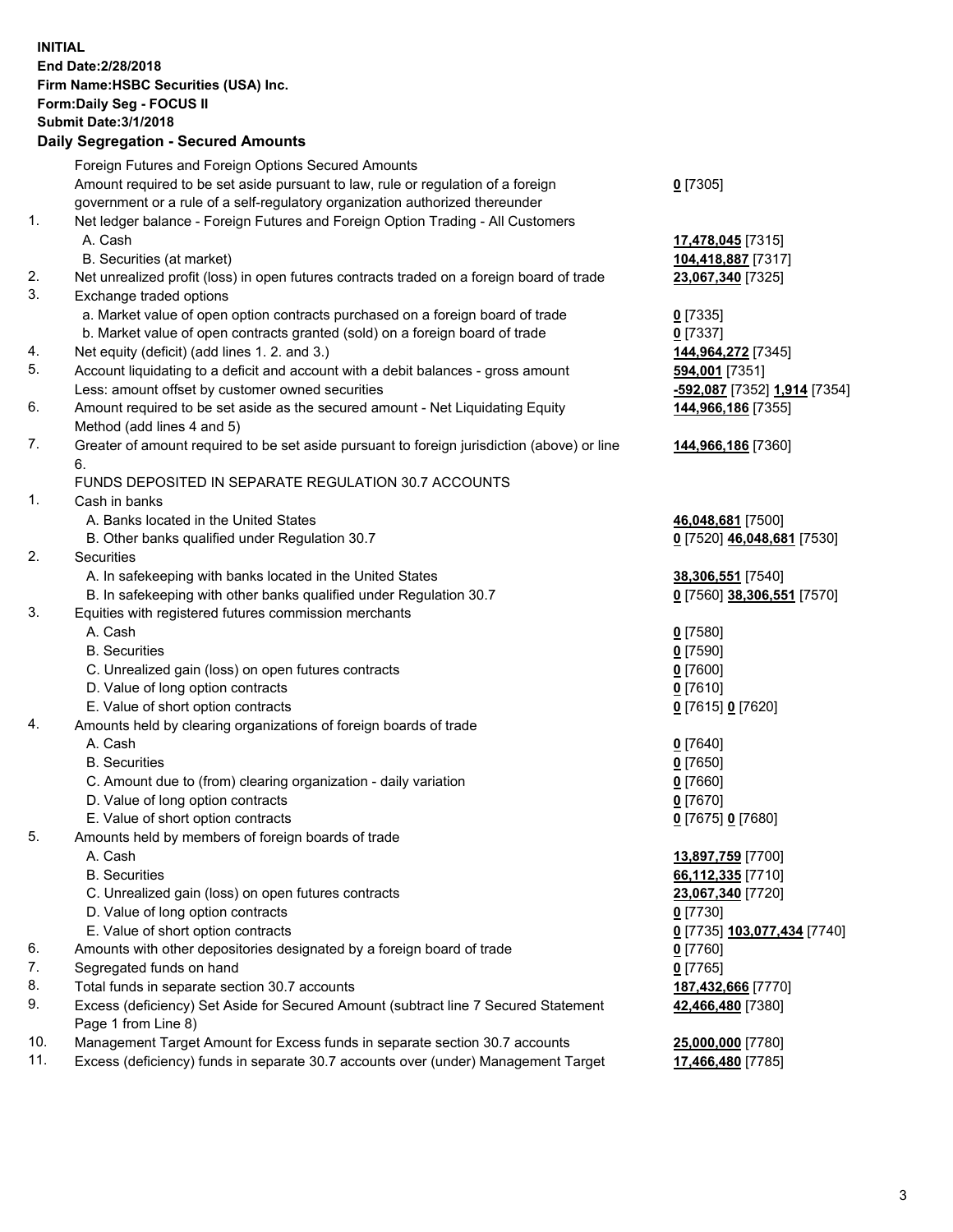**INITIAL End Date:2/28/2018 Firm Name:HSBC Securities (USA) Inc. Form:Daily Seg - FOCUS II Submit Date:3/1/2018 Daily Segregation - Secured Amounts** Foreign Futures and Foreign Options Secured Amounts Amount required to be set aside pursuant to law, rule or regulation of a foreign government or a rule of a self-regulatory organization authorized thereunder **0** [7305] 1. Net ledger balance - Foreign Futures and Foreign Option Trading - All Customers A. Cash **17,478,045** [7315] B. Securities (at market) **104,418,887** [7317] 2. Net unrealized profit (loss) in open futures contracts traded on a foreign board of trade **23,067,340** [7325] 3. Exchange traded options a. Market value of open option contracts purchased on a foreign board of trade **0** [7335] b. Market value of open contracts granted (sold) on a foreign board of trade **0** [7337] 4. Net equity (deficit) (add lines 1. 2. and 3.) **144,964,272** [7345] 5. Account liquidating to a deficit and account with a debit balances - gross amount **594,001** [7351] Less: amount offset by customer owned securities **-592,087** [7352] **1,914** [7354] 6. Amount required to be set aside as the secured amount - Net Liquidating Equity Method (add lines 4 and 5) **144,966,186** [7355] 7. Greater of amount required to be set aside pursuant to foreign jurisdiction (above) or line 6. **144,966,186** [7360] FUNDS DEPOSITED IN SEPARATE REGULATION 30.7 ACCOUNTS 1. Cash in banks A. Banks located in the United States **46,048,681** [7500] B. Other banks qualified under Regulation 30.7 **0** [7520] **46,048,681** [7530] 2. Securities A. In safekeeping with banks located in the United States **38,306,551** [7540] B. In safekeeping with other banks qualified under Regulation 30.7 **0** [7560] **38,306,551** [7570] 3. Equities with registered futures commission merchants A. Cash **0** [7580] B. Securities **0** [7590] C. Unrealized gain (loss) on open futures contracts **0** [7600] D. Value of long option contracts **0** [7610] E. Value of short option contracts **0** [7615] **0** [7620] 4. Amounts held by clearing organizations of foreign boards of trade A. Cash **0** [7640] B. Securities **0** [7650] C. Amount due to (from) clearing organization - daily variation **0** [7660] D. Value of long option contracts **0** [7670] E. Value of short option contracts **0** [7675] **0** [7680] 5. Amounts held by members of foreign boards of trade A. Cash **13,897,759** [7700] B. Securities **66,112,335** [7710] C. Unrealized gain (loss) on open futures contracts **23,067,340** [7720] D. Value of long option contracts **0** [7730] E. Value of short option contracts **0** [7735] **103,077,434** [7740] 6. Amounts with other depositories designated by a foreign board of trade **0** [7760] 7. Segregated funds on hand **0** [7765] 8. Total funds in separate section 30.7 accounts **187,432,666** [7770] 9. Excess (deficiency) Set Aside for Secured Amount (subtract line 7 Secured Statement Page 1 from Line 8) **42,466,480** [7380] 10. Management Target Amount for Excess funds in separate section 30.7 accounts **25,000,000** [7780] 11. Excess (deficiency) funds in separate 30.7 accounts over (under) Management Target **17,466,480** [7785]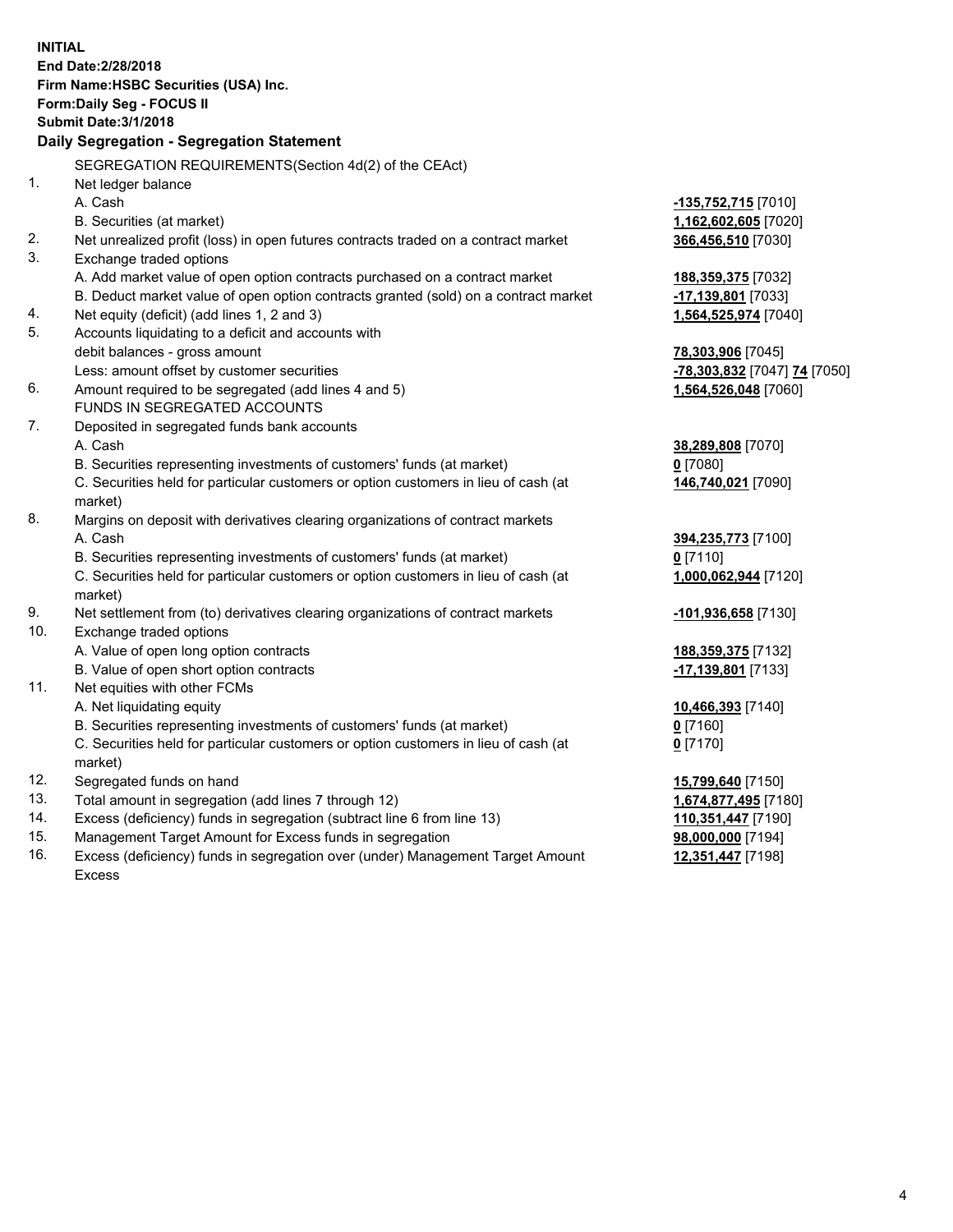| <b>INITIAL</b> | End Date: 2/28/2018<br>Firm Name: HSBC Securities (USA) Inc.<br>Form: Daily Seg - FOCUS II<br><b>Submit Date: 3/1/2018</b><br>Daily Segregation - Segregation Statement |                              |
|----------------|-------------------------------------------------------------------------------------------------------------------------------------------------------------------------|------------------------------|
|                | SEGREGATION REQUIREMENTS(Section 4d(2) of the CEAct)                                                                                                                    |                              |
| 1 <sub>1</sub> | Net ledger balance                                                                                                                                                      |                              |
|                | A. Cash                                                                                                                                                                 | <u>-135,752,715</u> [7010]   |
|                | B. Securities (at market)                                                                                                                                               | 1,162,602,605 [7020]         |
| 2.             | Net unrealized profit (loss) in open futures contracts traded on a contract market                                                                                      | 366,456,510 [7030]           |
| 3.             | Exchange traded options                                                                                                                                                 |                              |
|                | A. Add market value of open option contracts purchased on a contract market                                                                                             | 188,359,375 [7032]           |
|                | B. Deduct market value of open option contracts granted (sold) on a contract market                                                                                     | -17,139,801 [7033]           |
| 4.             | Net equity (deficit) (add lines 1, 2 and 3)                                                                                                                             | 1,564,525,974 [7040]         |
| 5.             | Accounts liquidating to a deficit and accounts with                                                                                                                     |                              |
|                | debit balances - gross amount                                                                                                                                           | 78,303,906 [7045]            |
|                | Less: amount offset by customer securities                                                                                                                              | -78,303,832 [7047] 74 [7050] |
| 6.             | Amount required to be segregated (add lines 4 and 5)                                                                                                                    | 1,564,526,048 [7060]         |
|                | FUNDS IN SEGREGATED ACCOUNTS                                                                                                                                            |                              |
| 7.             | Deposited in segregated funds bank accounts                                                                                                                             |                              |
|                | A. Cash                                                                                                                                                                 | 38,289,808 [7070]            |
|                | B. Securities representing investments of customers' funds (at market)                                                                                                  | $0$ [7080]                   |
|                | C. Securities held for particular customers or option customers in lieu of cash (at<br>market)                                                                          | 146,740,021 [7090]           |
| 8.             | Margins on deposit with derivatives clearing organizations of contract markets                                                                                          |                              |
|                | A. Cash                                                                                                                                                                 | 394,235,773 [7100]           |
|                | B. Securities representing investments of customers' funds (at market)                                                                                                  | $0$ [7110]                   |
|                | C. Securities held for particular customers or option customers in lieu of cash (at<br>market)                                                                          | 1,000,062,944 [7120]         |
| 9.             | Net settlement from (to) derivatives clearing organizations of contract markets                                                                                         | -101,936,658 [7130]          |
| 10.            | Exchange traded options                                                                                                                                                 |                              |
|                | A. Value of open long option contracts                                                                                                                                  | 188, 359, 375 [7132]         |
|                | B. Value of open short option contracts                                                                                                                                 | -17,139,801 [7133]           |
| 11.            | Net equities with other FCMs                                                                                                                                            |                              |
|                | A. Net liquidating equity                                                                                                                                               | 10,466,393 [7140]            |
|                | B. Securities representing investments of customers' funds (at market)                                                                                                  | $0$ [7160]                   |
|                | C. Securities held for particular customers or option customers in lieu of cash (at                                                                                     | $0$ [7170]                   |
|                | market)                                                                                                                                                                 |                              |
| 12.            | Segregated funds on hand                                                                                                                                                | 15,799,640 [7150]            |
| 13.            | Total amount in segregation (add lines 7 through 12)                                                                                                                    | 1,674,877,495 [7180]         |
| 14.            | Excess (deficiency) funds in segregation (subtract line 6 from line 13)                                                                                                 | 110,351,447 [7190]           |
| 15.            | Management Target Amount for Excess funds in segregation                                                                                                                | 98,000,000 [7194]            |

16. Excess (deficiency) funds in segregation over (under) Management Target Amount Excess

**12,351,447** [7198]